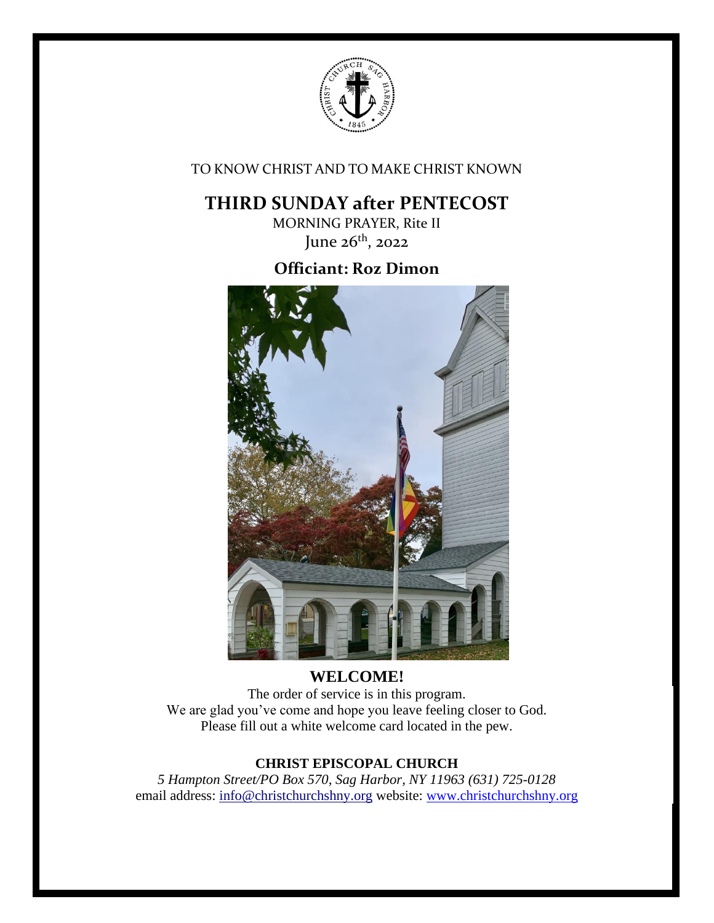

TO KNOW CHRIST AND TO MAKE CHRIST KNOWN

# **THIRD SUNDAY after PENTECOST**

MORNING PRAYER, Rite II June  $26<sup>th</sup>$ , 2022

# **Officiant: Roz Dimon**



### **WELCOME!**

The order of service is in this program. We are glad you've come and hope you leave feeling closer to God. Please fill out a white welcome card located in the pew.

### **CHRIST EPISCOPAL CHURCH**

*5 Hampton Street/PO Box 570, Sag Harbor, NY 11963 (631) 725-0128* email address: info@christchurchshny.org website: [www.christchurchshny.org](http://www.christchurchshny.org/)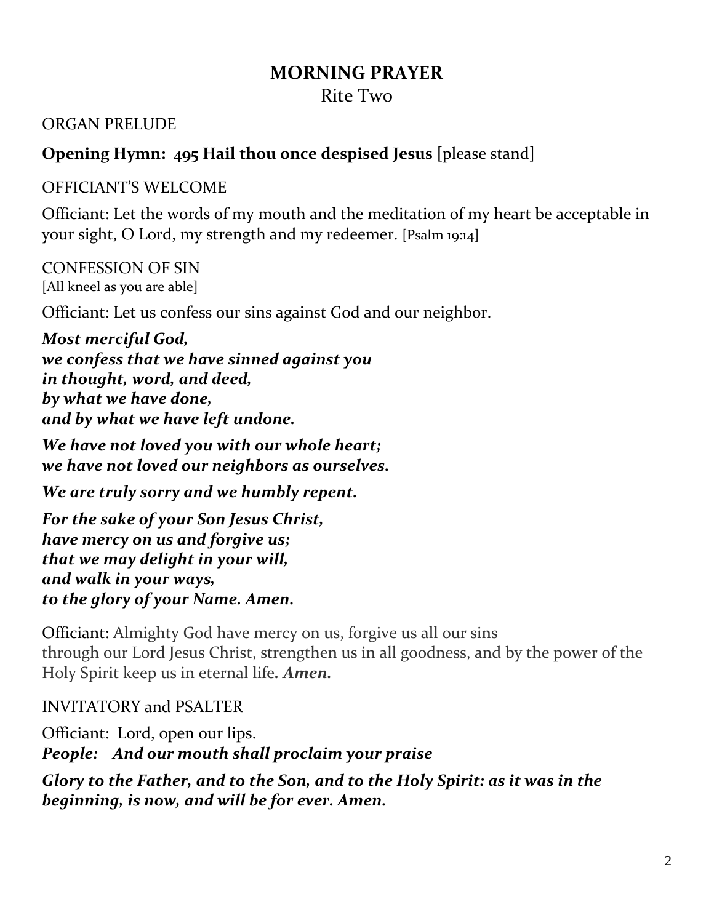# **MORNING PRAYER** Rite Two

## ORGAN PRELUDE

## **Opening Hymn: 495 Hail thou once despised Jesus [**please stand]

OFFICIANT'S WELCOME

Officiant: Let the words of my mouth and the meditation of my heart be acceptable in your sight, O Lord, my strength and my redeemer. [Psalm 19:14]

CONFESSION OF SIN [All kneel as you are able]

Officiant: Let us confess our sins against God and our neighbor.

*Most merciful God, we confess that we have sinned against you in thought, word, and deed, by what we have done, and by what we have left undone.*

*We have not loved you with our whole heart; we have not loved our neighbors as ourselves.*

*We are truly sorry and we humbly repent.*

*For the sake of your Son Jesus Christ, have mercy on us and forgive us; that we may delight in your will, and walk in your ways, to the glory of your Name. Amen.*

Officiant: Almighty God have mercy on us, forgive us all our sins through our Lord Jesus Christ, strengthen us in all goodness, and by the power of the Holy Spirit keep us in eternal life*. Amen.*

## INVITATORY and PSALTER

Officiant: Lord, open our lips. *People: And our mouth shall proclaim your praise*

*Glory to the Father, and to the Son, and to the Holy Spirit: as it was in the beginning, is now, and will be for ever. Amen.*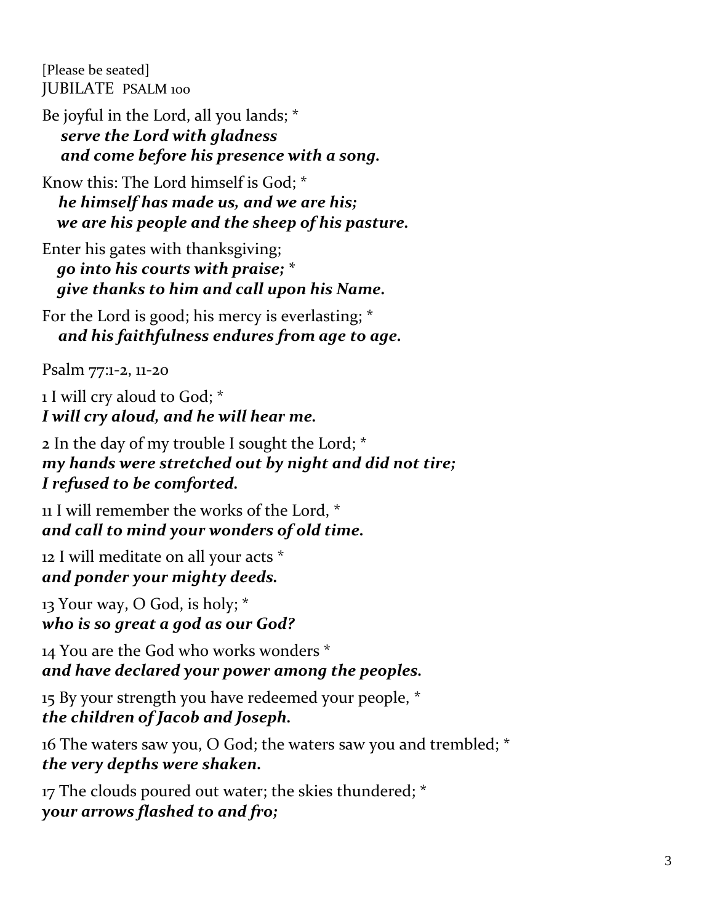[Please be seated] JUBILATE PSALM 100

Be joyful in the Lord, all you lands; \*  *serve the Lord with gladness and come before his presence with a song.*

Know this: The Lord himself is God; \* *he himself has made us, and we are his; we are his people and the sheep of his pasture.*

Enter his gates with thanksgiving;  *go into his courts with praise; \* give thanks to him and call upon his Name.*

For the Lord is good; his mercy is everlasting; \* *and his faithfulness endures from age to age.*

Psalm 77:1-2, 11-20

1 I will cry aloud to God; \* *I will cry aloud, and he will hear me.*

2 In the day of my trouble I sought the Lord; \* *my hands were stretched out by night and did not tire; I refused to be comforted.*

11 I will remember the works of the Lord, \* *and call to mind your wonders of old time.*

12 I will meditate on all your acts \* *and ponder your mighty deeds.*

13 Your way, O God, is holy; \* *who is so great a god as our God?*

14 You are the God who works wonders \* *and have declared your power among the peoples.*

15 By your strength you have redeemed your people, \* *the children of Jacob and Joseph.*

16 The waters saw you, O God; the waters saw you and trembled; \* *the very depths were shaken.*

17 The clouds poured out water; the skies thundered; \* *your arrows flashed to and fro;*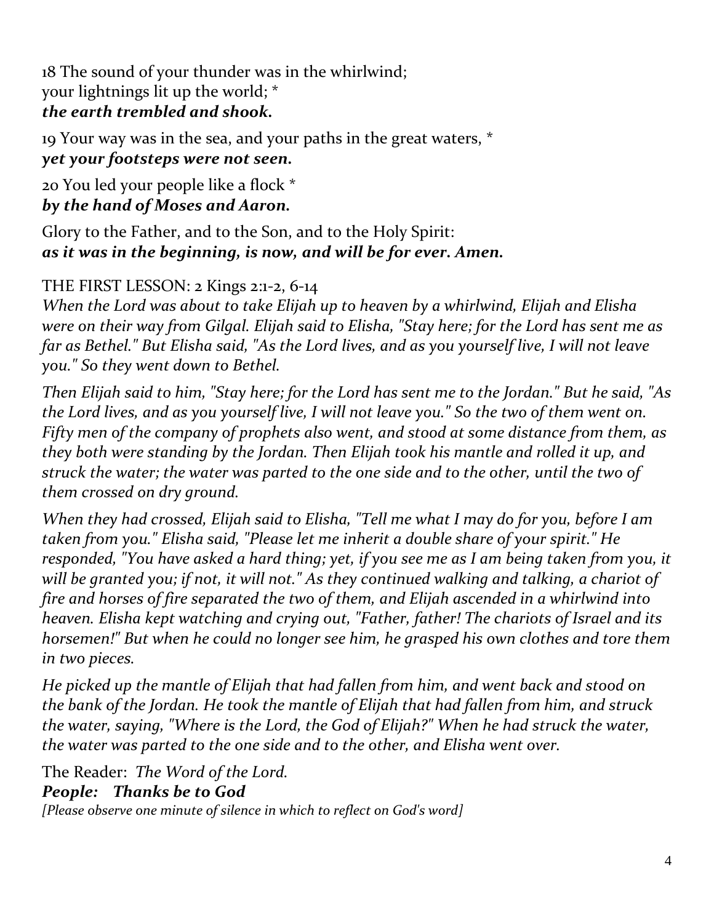18 The sound of your thunder was in the whirlwind; your lightnings lit up the world; \* *the earth trembled and shook.*

19 Your way was in the sea, and your paths in the great waters, \* *yet your footsteps were not seen.*

20 You led your people like a flock \* *by the hand of Moses and Aaron.*

Glory to the Father, and to the Son, and to the Holy Spirit: *as it was in the beginning, is now, and will be for ever. Amen.*

## THE FIRST LESSON: 2 Kings 2:1-2, 6-14

*When the Lord was about to take Elijah up to heaven by a whirlwind, Elijah and Elisha were on their way from Gilgal. Elijah said to Elisha, "Stay here; for the Lord has sent me as far as Bethel." But Elisha said, "As the Lord lives, and as you yourself live, I will not leave you." So they went down to Bethel.*

*Then Elijah said to him, "Stay here; for the Lord has sent me to the Jordan." But he said, "As the Lord lives, and as you yourself live, I will not leave you." So the two of them went on. Fifty men of the company of prophets also went, and stood at some distance from them, as they both were standing by the Jordan. Then Elijah took his mantle and rolled it up, and struck the water; the water was parted to the one side and to the other, until the two of them crossed on dry ground.*

*When they had crossed, Elijah said to Elisha, "Tell me what I may do for you, before I am taken from you." Elisha said, "Please let me inherit a double share of your spirit." He responded, "You have asked a hard thing; yet, if you see me as I am being taken from you, it will be granted you; if not, it will not." As they continued walking and talking, a chariot of fire and horses of fire separated the two of them, and Elijah ascended in a whirlwind into heaven. Elisha kept watching and crying out, "Father, father! The chariots of Israel and its horsemen!" But when he could no longer see him, he grasped his own clothes and tore them in two pieces.*

*He picked up the mantle of Elijah that had fallen from him, and went back and stood on the bank of the Jordan. He took the mantle of Elijah that had fallen from him, and struck the water, saying, "Where is the Lord, the God of Elijah?" When he had struck the water, the water was parted to the one side and to the other, and Elisha went over.*

The Reader: *The Word of the Lord.*

## *People: Thanks be to God*

*[Please observe one minute of silence in which to reflect on God's word]*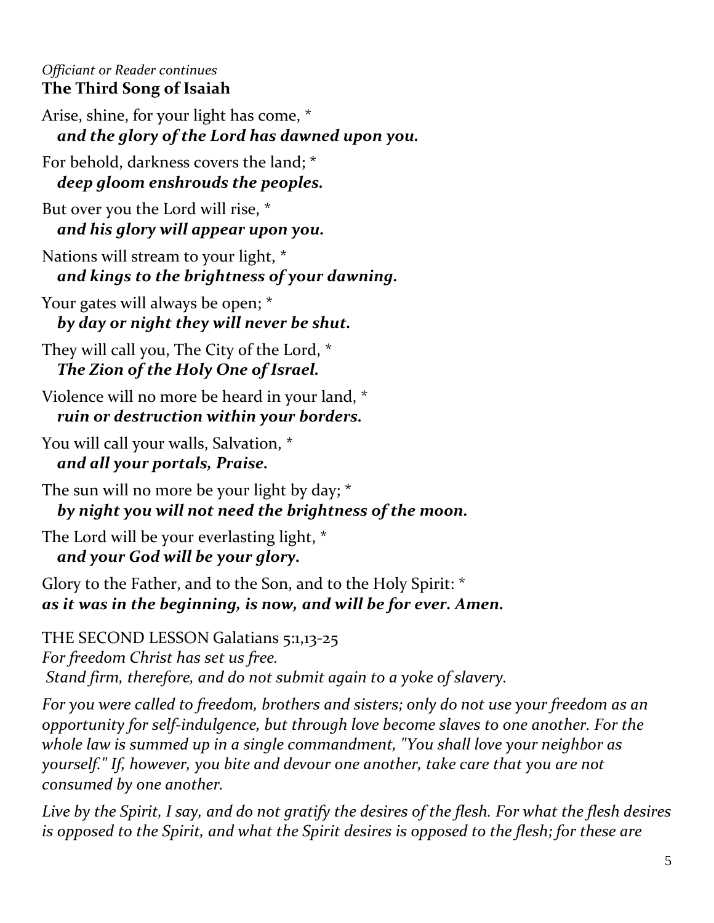### *Officiant or Reader continues* **The Third Song of Isaiah**

Arise, shine, for your light has come, \*  *and the glory of the Lord has dawned upon you.*

For behold, darkness covers the land; \*  *deep gloom enshrouds the peoples.*

But over you the Lord will rise, \*  *and his glory will appear upon you.*

Nations will stream to your light, \*  *and kings to the brightness of your dawning.*

Your gates will always be open; \*  *by day or night they will never be shut.*

They will call you, The City of the Lord, \*  *The Zion of the Holy One of Israel.*

Violence will no more be heard in your land, \*  *ruin or destruction within your borders.*

You will call your walls, Salvation, \*  *and all your portals, Praise.*

The sun will no more be your light by day; \*  *by night you will not need the brightness of the moon.*

The Lord will be your everlasting light, \*  *and your God will be your glory.*

Glory to the Father, and to the Son, and to the Holy Spirit: \* *as it was in the beginning, is now, and will be for ever. Amen.*

THE SECOND LESSON Galatians 5:1,13-25

*For freedom Christ has set us free. Stand firm, therefore, and do not submit again to a yoke of slavery.*

*For you were called to freedom, brothers and sisters; only do not use your freedom as an opportunity for self-indulgence, but through love become slaves to one another. For the whole law is summed up in a single commandment, "You shall love your neighbor as yourself." If, however, you bite and devour one another, take care that you are not consumed by one another.*

*Live by the Spirit, I say, and do not gratify the desires of the flesh. For what the flesh desires is opposed to the Spirit, and what the Spirit desires is opposed to the flesh; for these are*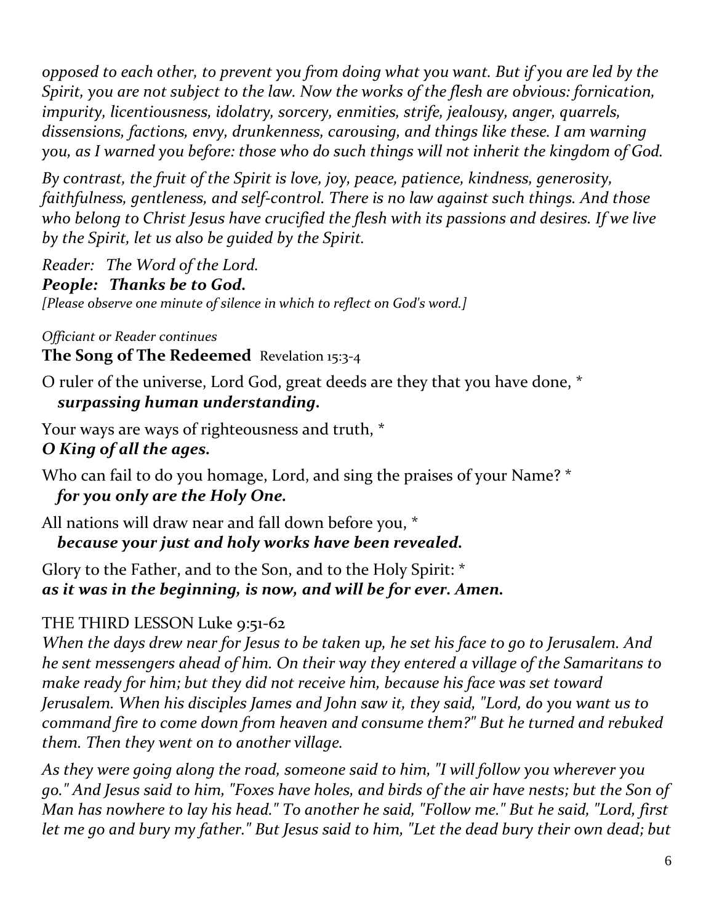*opposed to each other, to prevent you from doing what you want. But if you are led by the Spirit, you are not subject to the law. Now the works of the flesh are obvious: fornication, impurity, licentiousness, idolatry, sorcery, enmities, strife, jealousy, anger, quarrels, dissensions, factions, envy, drunkenness, carousing, and things like these. I am warning you, as I warned you before: those who do such things will not inherit the kingdom of God.*

*By contrast, the fruit of the Spirit is love, joy, peace, patience, kindness, generosity, faithfulness, gentleness, and self-control. There is no law against such things. And those who belong to Christ Jesus have crucified the flesh with its passions and desires. If we live by the Spirit, let us also be guided by the Spirit.*

*Reader: The Word of the Lord. People: Thanks be to God. [Please observe one minute of silence in which to reflect on God's word.]*

*Officiant or Reader continues* **The Song of The Redeemed** Revelation 15:3-4

O ruler of the universe, Lord God, great deeds are they that you have done, \* *surpassing human understanding.*

Your ways are ways of righteousness and truth,  $*$ *O King of all the ages.*

Who can fail to do you homage, Lord, and sing the praises of your Name? \*  *for you only are the Holy One.*

All nations will draw near and fall down before you, \*  *because your just and holy works have been revealed.*

Glory to the Father, and to the Son, and to the Holy Spirit: \* *as it was in the beginning, is now, and will be for ever. Amen.*

# THE THIRD LESSON Luke 9:51-62

*When the days drew near for Jesus to be taken up, he set his face to go to Jerusalem. And he sent messengers ahead of him. On their way they entered a village of the Samaritans to make ready for him; but they did not receive him, because his face was set toward Jerusalem. When his disciples James and John saw it, they said, "Lord, do you want us to command fire to come down from heaven and consume them?" But he turned and rebuked them. Then they went on to another village.*

*As they were going along the road, someone said to him, "I will follow you wherever you go." And Jesus said to him, "Foxes have holes, and birds of the air have nests; but the Son of Man has nowhere to lay his head." To another he said, "Follow me." But he said, "Lord, first let me go and bury my father." But Jesus said to him, "Let the dead bury their own dead; but*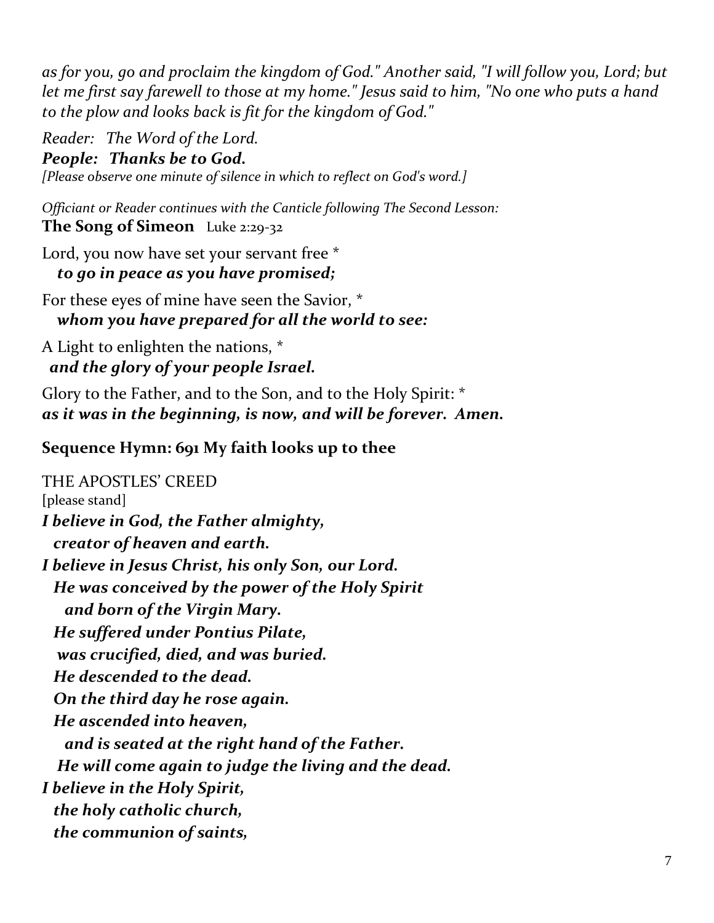*as for you, go and proclaim the kingdom of God." Another said, "I will follow you, Lord; but let me first say farewell to those at my home." Jesus said to him, "No one who puts a hand to the plow and looks back is fit for the kingdom of God."*

*Reader: The Word of the Lord. People: Thanks be to God. [Please observe one minute of silence in which to reflect on God's word.]*

*Officiant or Reader continues with the Canticle following The Second Lesson:* **The Song of Simeon** Luke 2:29-32

Lord, you now have set your servant free \*  *to go in peace as you have promised;*

For these eyes of mine have seen the Savior, \*  *whom you have prepared for all the world to see:*

A Light to enlighten the nations, \*  *and the glory of your people Israel.*

Glory to the Father, and to the Son, and to the Holy Spirit: \* *as it was in the beginning, is now, and will be forever. Amen.*

# **Sequence Hymn: 691 My faith looks up to thee**

THE APOSTLES' CREED **[**please stand] *I believe in God, the Father almighty, creator of heaven and earth. I believe in Jesus Christ, his only Son, our Lord. He was conceived by the power of the Holy Spirit and born of the Virgin Mary. He suffered under Pontius Pilate, was crucified, died, and was buried. He descended to the dead. On the third day he rose again. He ascended into heaven, and is seated at the right hand of the Father. He will come again to judge the living and the dead. I believe in the Holy Spirit, the holy catholic church, the communion of saints,*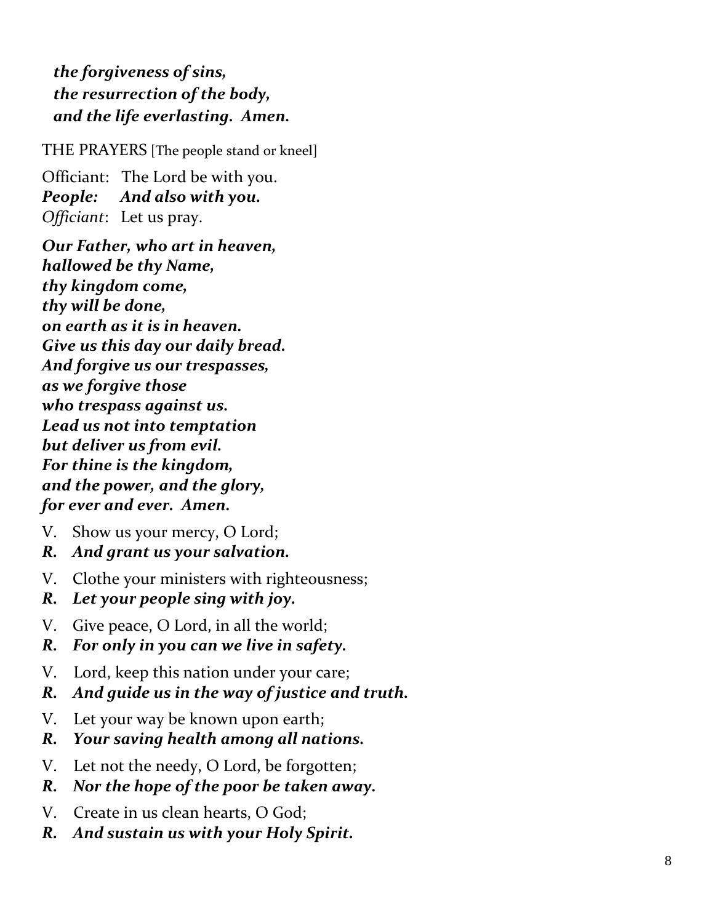# *the forgiveness of sins, the resurrection of the body, and the life everlasting. Amen.*

THE PRAYERS [The people stand or kneel ]

Officiant : The Lord be with you. *People : And also with you. Officiant* : Let us pray.

*Our Father, who art in heaven, hallowed be th y Name, thy kingdom come, thy will be done, on earth as it is in heaven. Give us this day ou r daily bread. And forgive us our trespasses, as we forgive those who trespass against us. Lead us not into temptation but deliver us from evil. For thine i s the kingdom, and the power, and the glory, for ever and ever. Amen.* 

- V. Show us your mercy, O Lord;
- *R. And grant us your salvation.*
- V. Clothe your ministers with righteousness;
- *R. Let your people sing with joy.*
- V. Give peace, O Lord, in all the world;
- *R. For only in you can we live in safety.*
- V. Lord, keep this nation under your care;
- *R. A nd guide us in the way of justice and truth.*
- V. Let your way be known upon earth;
- *R. Your saving health among all nations.*
- V. Let not the needy, O Lord, be forgotten;
- *R. Nor the hope of the poor be taken away.*
- V. Create in us clean hearts, O God ;
- *R. And sustain us with your Holy Spirit.*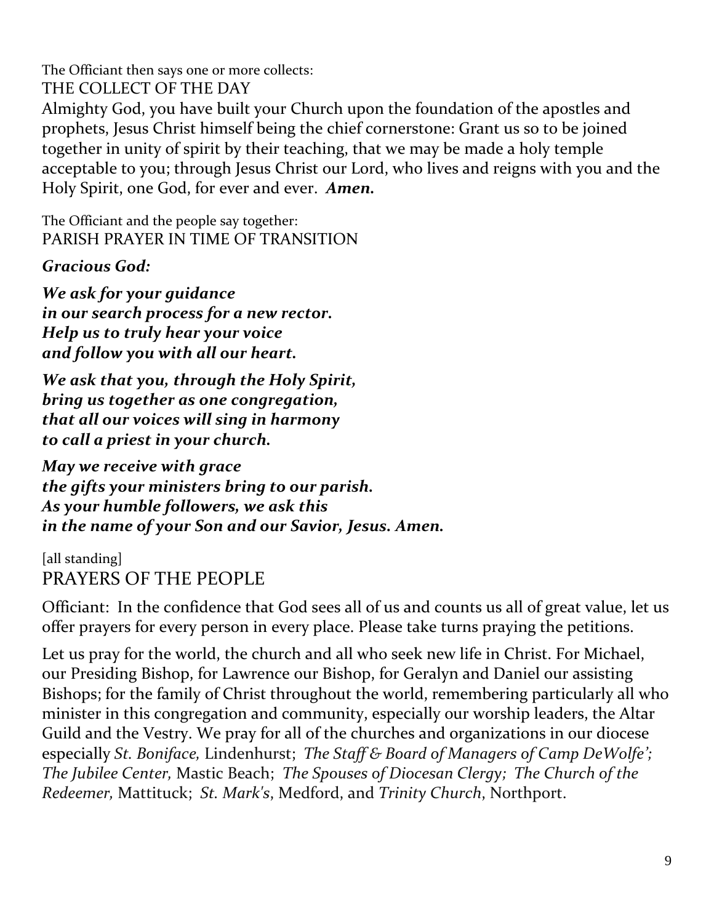The Officiant then says one or more collects: THE COLLECT OF THE DAY Almighty God, you have built your Church upon the foundation of the apostles and prophets, Jesus Christ himself being the chief cornerstone: Grant us so to be joined together in unity of spirit by their teaching, that we may be made a holy temple acceptable to you; through Jesus Christ our Lord, who lives and reigns with you and the Holy Spirit, one God, for ever and ever. *Amen.*

The Officiant and the people say together: PARISH PRAYER IN TIME OF TRANSITION

### *Gracious God:*

*We ask for your guidance in our search process for a new rector. Help us to truly hear your voice and follow you with all our heart.*

*We ask that you, through the Holy Spirit, bring us together as one congregation, that all our voices will sing in harmony to call a priest in your church.*

*May we receive with grace the gifts your ministers bring to our parish. As your humble followers, we ask this in the name of your Son and our Savior, Jesus. Amen.*

[all standing] PRAYERS OF THE PEOPLE

Officiant: In the confidence that God sees all of us and counts us all of great value, let us offer prayers for every person in every place. Please take turns praying the petitions.

Let us pray for the world, the church and all who seek new life in Christ. For Michael, our Presiding Bishop, for Lawrence our Bishop, for Geralyn and Daniel our assisting Bishops; for the family of Christ throughout the world, remembering particularly all who minister in this congregation and community, especially our worship leaders, the Altar Guild and the Vestry. We pray for all of the churches and organizations in our diocese especially *St. Boniface,* Lindenhurst; *The Staff & Board of Managers of Camp DeWolfe'; The Jubilee Center,* Mastic Beach; *The Spouses of Diocesan Clergy; The Church of the Redeemer,* Mattituck; *St. Mark's*, Medford, and *Trinity Church*, Northport.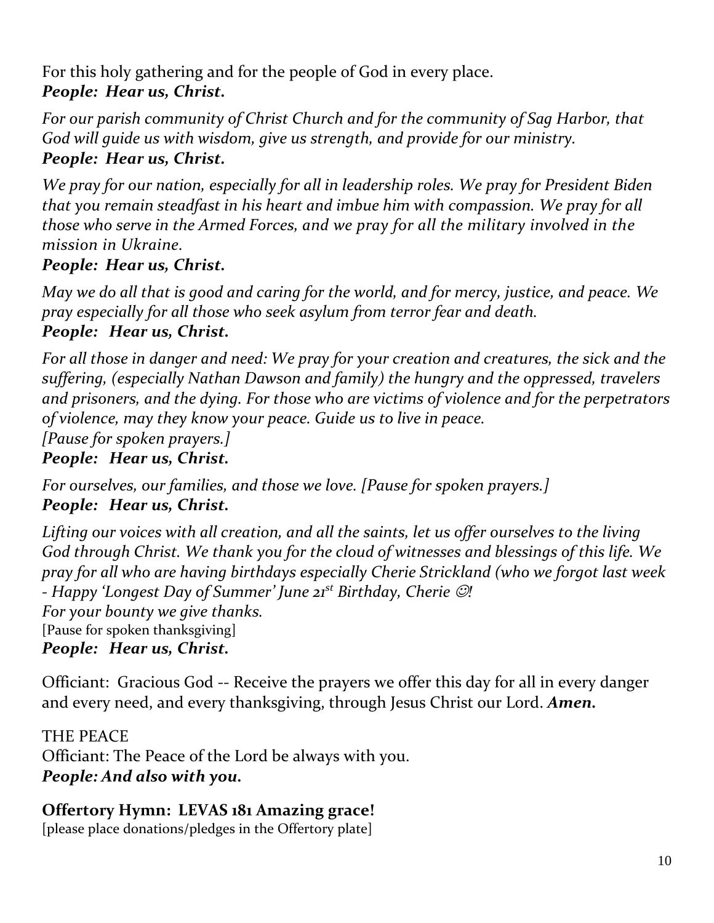For this holy gathering and for the people of God in every place. *People: Hear us, Christ.*

*For our parish community of Christ Church and for the community of Sag Harbor, that God will guide us with wisdom, give us strength, and provide for our ministry. People: Hear us, Christ.*

*We pray for our nation, especially for all in leadership roles. We pray for President Biden that you remain steadfast in his heart and imbue him with compassion. We pray for all those who serve in the Armed Forces, and we pray for all the military involved in the mission in Ukraine.*

# *People: Hear us, Christ.*

*May we do all that is good and caring for the world, and for mercy, justice, and peace. We pray especially for all those who seek asylum from terror fear and death. People: Hear us, Christ.*

*For all those in danger and need: We pray for your creation and creatures, the sick and the suffering, (especially Nathan Dawson and family) the hungry and the oppressed, travelers and prisoners, and the dying. For those who are victims of violence and for the perpetrators of violence, may they know your peace. Guide us to live in peace. [Pause for spoken prayers.]*

*People: Hear us, Christ.*

*For ourselves, our families, and those we love. [Pause for spoken prayers.] People: Hear us, Christ.*

*Lifting our voices with all creation, and all the saints, let us offer ourselves to the living God through Christ. We thank you for the cloud of witnesses and blessings of this life. We pray for all who are having birthdays especially Cherie Strickland (who we forgot last week - Happy 'Longest Day of Summer' June 21st Birthday, Cherie* ☺*! For your bounty we give thanks.* [Pause for spoken thanksgiving] *People: Hear us, Christ.*

Officiant: Gracious God -- Receive the prayers we offer this day for all in every danger and every need, and every thanksgiving, through Jesus Christ our Lord. *Amen.*

THE PEACE Officiant: The Peace of the Lord be always with you. *People: And also with you.*

# **Offertory Hymn:****LEVAS 181 Amazing grace!**

[please place donations/pledges in the Offertory plate]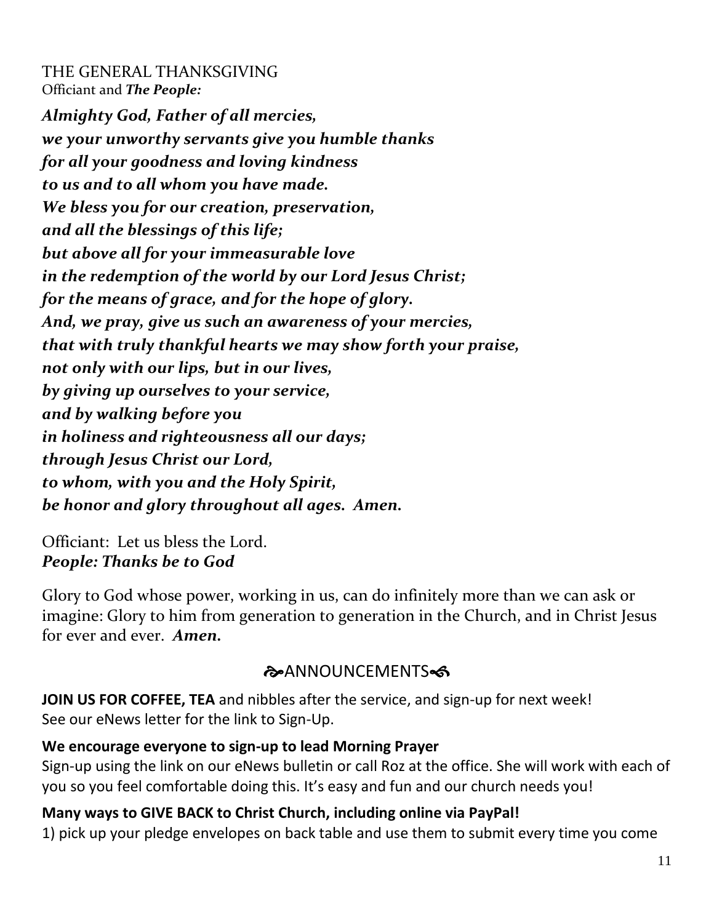THE GENERAL THANKSGIVING Officiant and *The People:*

*Almighty God, Father of all mercies, we your unworthy servants give you humble thanks for all your goodness and loving kindness to us and to all whom you have made. We bless you for our creation, preservation, and all the blessings of this life; but above all for your immeasurable love in the redemption of the world by our Lord Jesus Christ; for the means of grace, and for the hope of glory. And, we pray, give us such an awareness of your mercies, that with truly thankful hearts we may show forth your praise, not only with our lips, but in our lives, by giving up ourselves to your service, and by walking before you in holiness and righteousness all our days; through Jesus Christ our Lord, to whom, with you and the Holy Spirit, be honor and glory throughout all ages. Amen.*

Officiant: Let us bless the Lord. *People: Thanks be to God*

Glory to God whose power, working in us, can do infinitely more than we can ask or imagine: Glory to him from generation to generation in the Church, and in Christ Jesus for ever and ever. *Amen.*

## �ANNOUNCEMENTS

**JOIN US FOR COFFEE, TEA** and nibbles after the service, and sign-up for next week! See our eNews letter for the link to Sign-Up.

### **We encourage everyone to sign-up to lead Morning Prayer**

Sign-up using the link on our eNews bulletin or call Roz at the office. She will work with each of you so you feel comfortable doing this. It's easy and fun and our church needs you!

### **Many ways to GIVE BACK to Christ Church, including online via PayPal!**

1) pick up your pledge envelopes on back table and use them to submit every time you come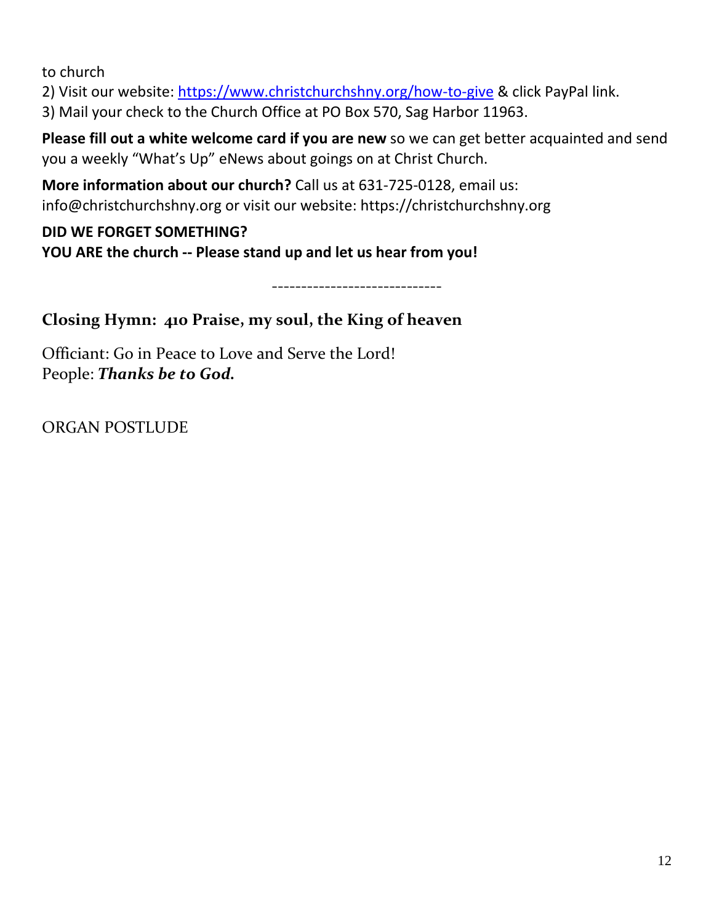to church

- 2) Visit our website:<https://www.christchurchshny.org/how-to-give> & click PayPal link.
- 3) Mail your check to the Church Office at PO Box 570, Sag Harbor 11963.

**Please fill out a white welcome card if you are new** so we can get better acquainted and send you a weekly "What's Up" eNews about goings on at Christ Church.

**More information about our church?** Call us at 631-725-0128, email us: [info@christchurchshny.org](mailto:info@christchurchshny.org) or visit our website: [https://christchurchshny.org](https://christchurchshny.org/)

**DID WE FORGET SOMETHING? YOU ARE the church -- Please stand up and let us hear from you!**

-----------------------------

**Closing Hymn: 410 Praise, my soul, the King of heaven**

Officiant: Go in Peace to Love and Serve the Lord! People: *Thanks be to God.* 

ORGAN POSTLUDE